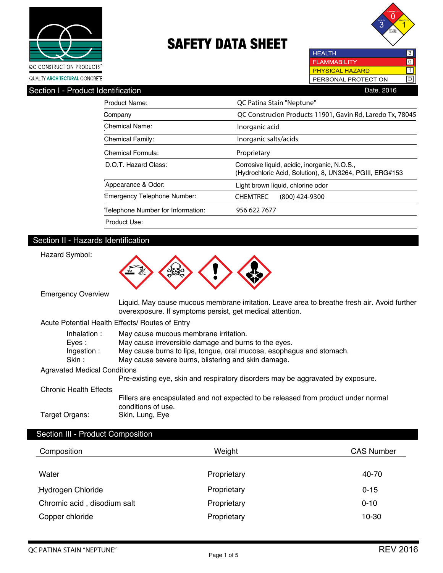



**HEALTH FLAMMABILITY**  $\overline{10}$ PHYSICAL HAZARD  $\boxed{1}$ PERSONAL PROTECTION D

| QUALITY <b>ARCHITECTURAL</b> CONCRETE |  |
|---------------------------------------|--|
|                                       |  |

| Section I - Product Identification |                                    | Date, 2016                                                                                               |
|------------------------------------|------------------------------------|----------------------------------------------------------------------------------------------------------|
|                                    | Product Name:                      | QC Patina Stain "Neptune"                                                                                |
|                                    | Company                            | QC Construcion Products 11901, Gavin Rd, Laredo Tx, 78045                                                |
|                                    | Chemical Name:                     | Inorganic acid                                                                                           |
|                                    | <b>Chemical Family:</b>            | Inorganic salts/acids                                                                                    |
|                                    | Chemical Formula:                  | Proprietary                                                                                              |
|                                    | D.O.T. Hazard Class:               | Corrosive liquid, acidic, inorganic, N.O.S.,<br>(Hydrochloric Acid, Solution), 8, UN3264, PGIII, ERG#153 |
|                                    | Appearance & Odor:                 | Light brown liquid, chlorine odor                                                                        |
|                                    | <b>Emergency Telephone Number:</b> | <b>CHEMTREC</b><br>$(800)$ 424-9300                                                                      |
|                                    | Telephone Number for Information:  | 956 622 7677                                                                                             |
|                                    | Product Use:                       |                                                                                                          |

## Section II - Hazards Identification

Hazard Symbol:



Emergency Overview

 Liquid. May cause mucous membrane irritation. Leave area to breathe fresh air. Avoid further overexposure. If symptoms persist, get medical attention.

#### Acute Potential Health Effects/ Routes of Entry

| Inhalation:                         | May cause mucous membrane irritation.                                              |
|-------------------------------------|------------------------------------------------------------------------------------|
| Eves :                              | May cause irreversible damage and burns to the eyes.                               |
| Ingestion:                          | May cause burns to lips, tongue, oral mucosa, esophagus and stomach.               |
| Skin :                              | May cause severe burns, blistering and skin damage.                                |
| <b>Agravated Medical Conditions</b> |                                                                                    |
|                                     | Pre-existing eye, skin and respiratory disorders may be aggravated by exposure.    |
| <b>Chronic Health Effects</b>       |                                                                                    |
|                                     | Fillers are encapsulated and not expected to be released from product under normal |
|                                     | conditions of use.                                                                 |
| Target Organs:                      | Skin, Lung, Eye                                                                    |

## Section III - Product Composition

| Composition                 | Weight      | <b>CAS Number</b> |
|-----------------------------|-------------|-------------------|
| Water                       | Proprietary | 40-70             |
| Hydrogen Chloride           | Proprietary | $0 - 15$          |
| Chromic acid, disodium salt | Proprietary | $0 - 10$          |
| Copper chloride             | Proprietary | 10-30             |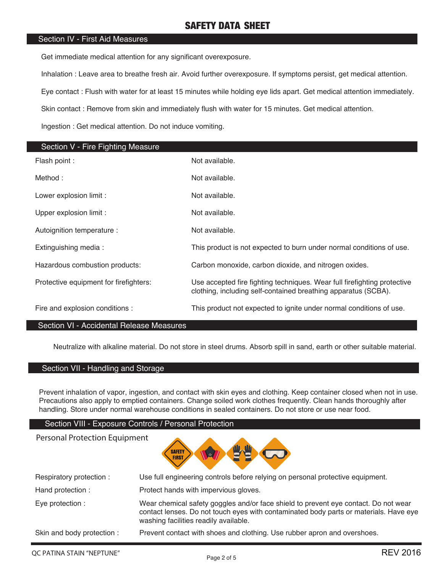#### Section IV - First Aid Measures

Get immediate medical attention for any significant overexposure.

Inhalation : Leave area to breathe fresh air. Avoid further overexposure. If symptoms persist, get medical attention.

Eye contact : Flush with water for at least 15 minutes while holding eye lids apart. Get medical attention immediately.

Skin contact : Remove from skin and immediately flush with water for 15 minutes. Get medical attention.

Ingestion : Get medical attention. Do not induce vomiting.

| Section V - Fire Fighting Measure      |                                                                                                                                            |
|----------------------------------------|--------------------------------------------------------------------------------------------------------------------------------------------|
| Flash point :                          | Not available.                                                                                                                             |
| Method:                                | Not available.                                                                                                                             |
| Lower explosion limit :                | Not available.                                                                                                                             |
| Upper explosion limit :                | Not available.                                                                                                                             |
| Autoignition temperature :             | Not available.                                                                                                                             |
| Extinguishing media:                   | This product is not expected to burn under normal conditions of use.                                                                       |
| Hazardous combustion products:         | Carbon monoxide, carbon dioxide, and nitrogen oxides.                                                                                      |
| Protective equipment for firefighters: | Use accepted fire fighting techniques. Wear full firefighting protective<br>clothing, including self-contained breathing apparatus (SCBA). |
| Fire and explosion conditions :        | This product not expected to ignite under normal conditions of use.                                                                        |

#### Section VI - Accidental Release Measures

Neutralize with alkaline material. Do not store in steel drums. Absorb spill in sand, earth or other suitable material.

#### Section VII - Handling and Storage

Prevent inhalation of vapor, ingestion, and contact with skin eyes and clothing. Keep container closed when not in use. Precautions also apply to emptied containers. Change soiled work clothes frequently. Clean hands thoroughly after handling. Store under normal warehouse conditions in sealed containers. Do not store or use near food.

#### Section VIII - Exposure Controls / Personal Protection

| <b>Personal Protection Equipment</b><br><b>SAFETY</b><br>le, |                                                                                                                                                                                                                       |  |  |
|--------------------------------------------------------------|-----------------------------------------------------------------------------------------------------------------------------------------------------------------------------------------------------------------------|--|--|
| Respiratory protection:                                      | Use full engineering controls before relying on personal protective equipment.                                                                                                                                        |  |  |
| Hand protection:                                             | Protect hands with impervious gloves.                                                                                                                                                                                 |  |  |
| Eye protection :                                             | Wear chemical safety goggles and/or face shield to prevent eye contact. Do not wear<br>contact lenses. Do not touch eyes with contaminated body parts or materials. Have eye<br>washing facilities readily available. |  |  |
| Skin and body protection :                                   | Prevent contact with shoes and clothing. Use rubber apron and overshoes.                                                                                                                                              |  |  |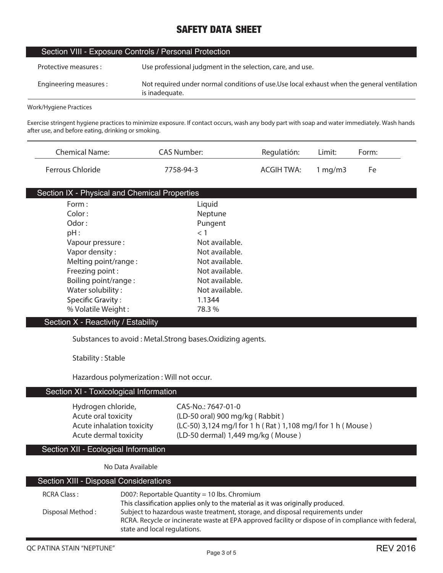| Section VIII - Exposure Controls / Personal Protection |                                                                                                               |  |  |
|--------------------------------------------------------|---------------------------------------------------------------------------------------------------------------|--|--|
| Protective measures :                                  | Use professional judgment in the selection, care, and use.                                                    |  |  |
| Engineering measures :                                 | Not required under normal conditions of use. Use local exhaust when the general ventilation<br>is inadequate. |  |  |
| .                                                      |                                                                                                               |  |  |

**Work/Hygiene Practices**

**Exercise stringent hygiene practices to minimize exposure. If contact occurs, wash any body part with soap and water immediately. Wash hands after use, and before eating, drinking or smoking.**

| <b>Chemical Name:</b> | CAS Number: | Regulatión: | Limit:     | Form: |
|-----------------------|-------------|-------------|------------|-------|
| Ferrous Chloride      | 7758-94-3   | ACGIH TWA:  | 1 mg/m $3$ | Fe    |

| Section IX - Physical and Chemical Properties |                |
|-----------------------------------------------|----------------|
| Form:                                         | Liquid         |
| Color:                                        | Neptune        |
| Odor:                                         | Pungent        |
| pH:                                           | < 1            |
| Vapour pressure:                              | Not available. |
| Vapor density:                                | Not available. |
| Melting point/range:                          | Not available. |
| Freezing point:                               | Not available. |
| Boiling point/range:                          | Not available. |
| Water solubility:                             | Not available. |
| Specific Gravity:                             | 1.1344         |
| % Volatile Weight:                            | 78.3 %         |

## Section X - Reactivity / Estability

**Substances to avoid : Metal.Strong bases.Oxidizing agents.**

**Stability : Stable**

**Hazardous polymerization : Will not occur.**

### Section XI - Toxicological Information

**Hydrogen chloride, CAS-No.: 7647-01-0**

**Acute oral toxicity (LD-50 oral) 900 mg/kg ( Rabbit ) Acute inhalation toxicity (LC-50) 3,124 mg/l for 1 h ( Rat ) 1,108 mg/l for 1 h ( Mouse ) Acute dermal toxicity (LD-50 dermal) 1,449 mg/kg ( Mouse )**

## Section XII - Ecological Information

**No Data Available**

## Section XIII - Disposal Considerations

| RCRA Class:      | D007: Reportable Quantity = 10 lbs. Chromium                                                         |
|------------------|------------------------------------------------------------------------------------------------------|
|                  | This classification applies only to the material as it was originally produced.                      |
| Disposal Method: | Subject to hazardous waste treatment, storage, and disposal requirements under                       |
|                  | RCRA. Recycle or incinerate waste at EPA approved facility or dispose of in compliance with federal, |
|                  | state and local regulations.                                                                         |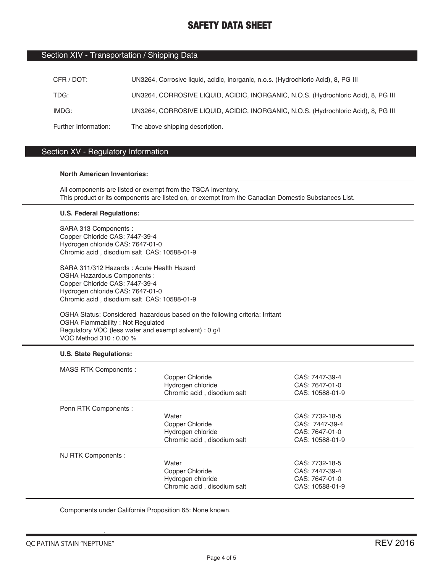#### Section XIV - Transportation / Shipping Data

| CFR / DOT:           | UN3264, Corrosive liquid, acidic, inorganic, n.o.s. (Hydrochloric Acid), 8, PG III |
|----------------------|------------------------------------------------------------------------------------|
| TDG:                 | UN3264, CORROSIVE LIQUID, ACIDIC, INORGANIC, N.O.S. (Hydrochloric Acid), 8, PG III |
| IMDG:                | UN3264, CORROSIVE LIQUID, ACIDIC, INORGANIC, N.O.S. (Hydrochloric Acid), 8, PG III |
| Further Information: | The above shipping description.                                                    |

### Section XV - Regulatory Information

#### **North American Inventories:**

All components are listed or exempt from the TSCA inventory. This product or its components are listed on, or exempt from the Canadian Domestic Substances List.

#### **U.S. Federal Regulations:**

SARA 313 Components : Copper Chloride CAS: 7447-39-4 Hydrogen chloride CAS: 7647-01-0 Chromic acid , disodium salt CAS: 10588-01-9

SARA 311/312 Hazards : Acute Health Hazard OSHA Hazardous Components : Copper Chloride CAS: 7447-39-4 Hydrogen chloride CAS: 7647-01-0 Chromic acid , disodium salt CAS: 10588-01-9

OSHA Status: Considered hazardous based on the following criteria: Irritant OSHA Flammability : Not Regulated Regulatory VOC (less water and exempt solvent) : 0 g/l VOC Method 310 : 0.00 %

#### **U.S. State Regulations:**

| <b>MASS RTK Components:</b> |                             |                 |  |
|-----------------------------|-----------------------------|-----------------|--|
|                             | Copper Chloride             | CAS: 7447-39-4  |  |
|                             | Hydrogen chloride           | CAS: 7647-01-0  |  |
|                             | Chromic acid, disodium salt | CAS: 10588-01-9 |  |
| Penn RTK Components :       |                             |                 |  |
|                             | Water                       | CAS: 7732-18-5  |  |
|                             | Copper Chloride             | CAS: 7447-39-4  |  |
|                             | Hydrogen chloride           | CAS: 7647-01-0  |  |
|                             | Chromic acid, disodium salt | CAS: 10588-01-9 |  |
| NJ RTK Components :         |                             |                 |  |
|                             | Water                       | CAS: 7732-18-5  |  |
|                             | Copper Chloride             | CAS: 7447-39-4  |  |
|                             | Hydrogen chloride           | CAS: 7647-01-0  |  |
|                             | Chromic acid, disodium salt | CAS: 10588-01-9 |  |

Components under California Proposition 65: None known.